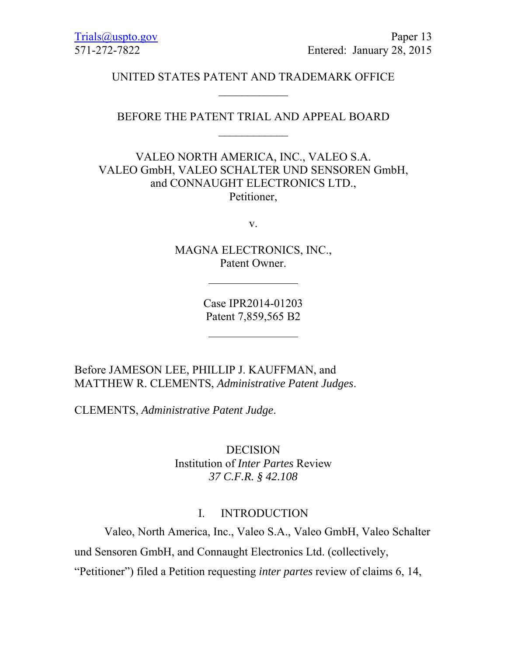### UNITED STATES PATENT AND TRADEMARK OFFICE  $\frac{1}{2}$

## BEFORE THE PATENT TRIAL AND APPEAL BOARD  $\frac{1}{2}$

# VALEO NORTH AMERICA, INC., VALEO S.A. VALEO GmbH, VALEO SCHALTER UND SENSOREN GmbH, and CONNAUGHT ELECTRONICS LTD., Petitioner,

v.

MAGNA ELECTRONICS, INC., Patent Owner.

> Case IPR2014-01203 Patent 7,859,565 B2

Before JAMESON LEE, PHILLIP J. KAUFFMAN, and MATTHEW R. CLEMENTS, *Administrative Patent Judges*.

CLEMENTS, *Administrative Patent Judge*.

DECISION Institution of *Inter Partes* Review *37 C.F.R. § 42.108*

#### I. INTRODUCTION

Valeo, North America, Inc., Valeo S.A., Valeo GmbH, Valeo Schalter und Sensoren GmbH, and Connaught Electronics Ltd. (collectively,

"Petitioner") filed a Petition requesting *inter partes* review of claims 6, 14,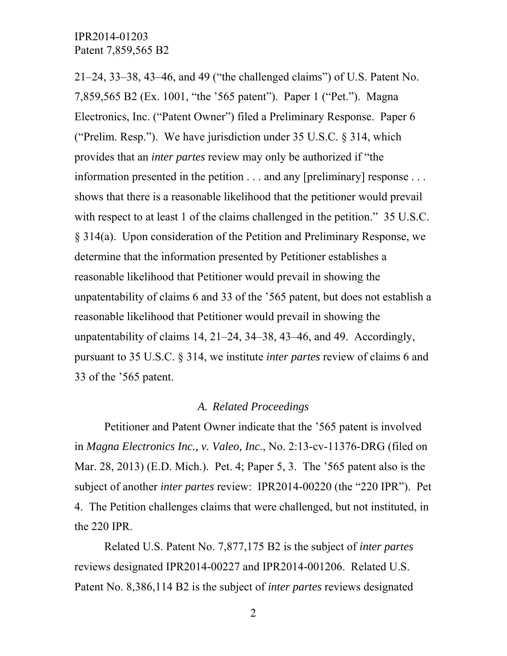21–24, 33–38, 43–46, and 49 ("the challenged claims") of U.S. Patent No. 7,859,565 B2 (Ex. 1001, "the '565 patent"). Paper 1 ("Pet."). Magna Electronics, Inc. ("Patent Owner") filed a Preliminary Response. Paper 6 ("Prelim. Resp."). We have jurisdiction under  $35 \text{ U.S.C.}$   $\S 314$ , which provides that an *inter partes* review may only be authorized if "the information presented in the petition . . . and any [preliminary] response . . . shows that there is a reasonable likelihood that the petitioner would prevail with respect to at least 1 of the claims challenged in the petition." 35 U.S.C. § 314(a). Upon consideration of the Petition and Preliminary Response, we determine that the information presented by Petitioner establishes a reasonable likelihood that Petitioner would prevail in showing the unpatentability of claims 6 and 33 of the '565 patent, but does not establish a reasonable likelihood that Petitioner would prevail in showing the unpatentability of claims 14, 21–24, 34–38, 43–46, and 49. Accordingly, pursuant to 35 U.S.C. § 314, we institute *inter partes* review of claims 6 and 33 of the '565 patent.

### *A. Related Proceedings*

Petitioner and Patent Owner indicate that the '565 patent is involved in *Magna Electronics Inc., v. Valeo, Inc*., No. 2:13-cv-11376-DRG (filed on Mar. 28, 2013) (E.D. Mich.). Pet. 4; Paper 5, 3. The '565 patent also is the subject of another *inter partes* review: IPR2014-00220 (the "220 IPR"). Pet 4. The Petition challenges claims that were challenged, but not instituted, in the 220 IPR.

Related U.S. Patent No. 7,877,175 B2 is the subject of *inter partes* reviews designated IPR2014-00227 and IPR2014-001206. Related U.S. Patent No. 8,386,114 B2 is the subject of *inter partes* reviews designated

2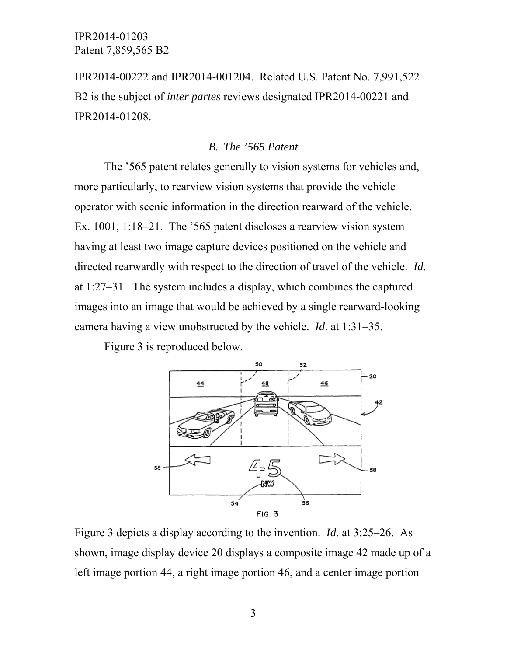IPR2014-00222 and IPR2014-001204. Related U.S. Patent No. 7,991,522 B2 is the subject of *inter partes* reviews designated IPR2014-00221 and IPR2014-01208.

### *B. The '565 Patent*

The '565 patent relates generally to vision systems for vehicles and, more particularly, to rearview vision systems that provide the vehicle operator with scenic information in the direction rearward of the vehicle. Ex. 1001, 1:18–21. The '565 patent discloses a rearview vision system having at least two image capture devices positioned on the vehicle and directed rearwardly with respect to the direction of travel of the vehicle. *Id*. at 1:27–31. The system includes a display, which combines the captured images into an image that would be achieved by a single rearward-looking camera having a view unobstructed by the vehicle. *Id*. at 1:31–35.

Figure 3 is reproduced below.



Figure 3 depicts a display according to the invention. *Id*. at 3:25–26. As shown, image display device 20 displays a composite image 42 made up of a left image portion 44, a right image portion 46, and a center image portion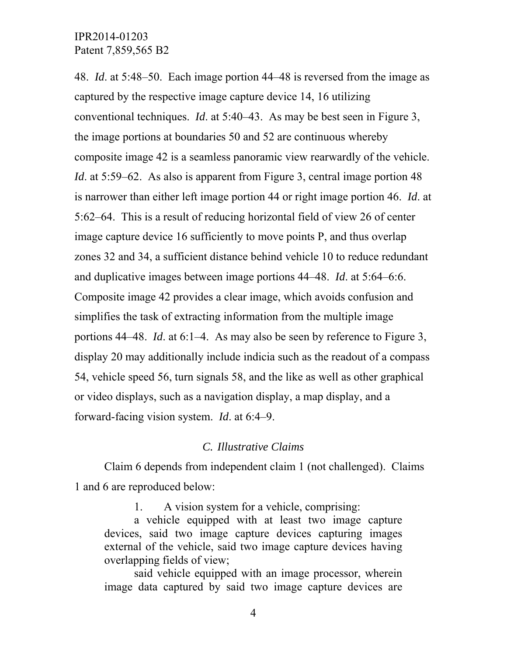48. *Id*. at 5:48–50. Each image portion 44–48 is reversed from the image as captured by the respective image capture device 14, 16 utilizing conventional techniques. *Id*. at 5:40–43. As may be best seen in Figure 3, the image portions at boundaries 50 and 52 are continuous whereby composite image 42 is a seamless panoramic view rearwardly of the vehicle. *Id.* at 5:59–62. As also is apparent from Figure 3, central image portion 48 is narrower than either left image portion 44 or right image portion 46. *Id*. at 5:62–64. This is a result of reducing horizontal field of view 26 of center image capture device 16 sufficiently to move points P, and thus overlap zones 32 and 34, a sufficient distance behind vehicle 10 to reduce redundant and duplicative images between image portions 44–48. *Id*. at 5:64–6:6. Composite image 42 provides a clear image, which avoids confusion and simplifies the task of extracting information from the multiple image portions 44–48. *Id*. at 6:1–4. As may also be seen by reference to Figure 3, display 20 may additionally include indicia such as the readout of a compass 54, vehicle speed 56, turn signals 58, and the like as well as other graphical or video displays, such as a navigation display, a map display, and a forward-facing vision system. *Id*. at 6:4–9.

### *C. Illustrative Claims*

Claim 6 depends from independent claim 1 (not challenged). Claims 1 and 6 are reproduced below:

1. A vision system for a vehicle, comprising:

a vehicle equipped with at least two image capture devices, said two image capture devices capturing images external of the vehicle, said two image capture devices having overlapping fields of view;

said vehicle equipped with an image processor, wherein image data captured by said two image capture devices are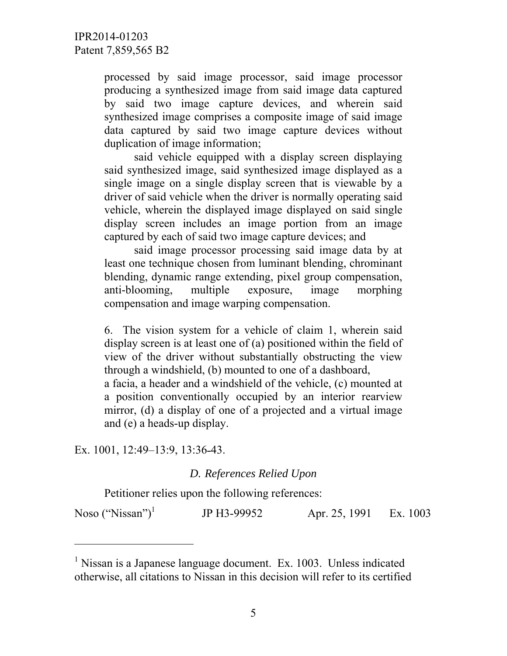processed by said image processor, said image processor producing a synthesized image from said image data captured by said two image capture devices, and wherein said synthesized image comprises a composite image of said image data captured by said two image capture devices without duplication of image information;

said vehicle equipped with a display screen displaying said synthesized image, said synthesized image displayed as a single image on a single display screen that is viewable by a driver of said vehicle when the driver is normally operating said vehicle, wherein the displayed image displayed on said single display screen includes an image portion from an image captured by each of said two image capture devices; and

said image processor processing said image data by at least one technique chosen from luminant blending, chrominant blending, dynamic range extending, pixel group compensation, anti-blooming, multiple exposure, image morphing compensation and image warping compensation.

6. The vision system for a vehicle of claim 1, wherein said display screen is at least one of (a) positioned within the field of view of the driver without substantially obstructing the view through a windshield, (b) mounted to one of a dashboard,

a facia, a header and a windshield of the vehicle, (c) mounted at a position conventionally occupied by an interior rearview mirror, (d) a display of one of a projected and a virtual image and (e) a heads-up display.

Ex. 1001, 12:49–13:9, 13:36-43.

-

*D. References Relied Upon* 

Petitioner relies upon the following references:

Noso ("Nissan") $<sup>1</sup>$ </sup> JP H3-99952 Apr. 25, 1991 Ex. 1003

<sup>&</sup>lt;sup>1</sup> Nissan is a Japanese language document. Ex. 1003. Unless indicated otherwise, all citations to Nissan in this decision will refer to its certified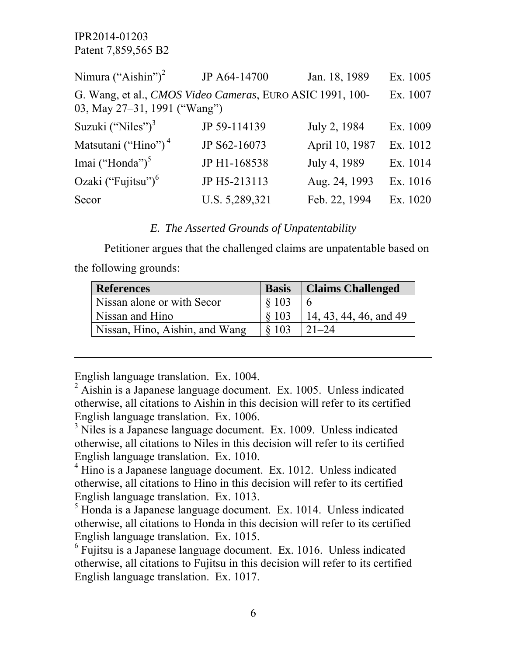| Nimura ("Aishin") <sup>2</sup>                                                            | JP A64-14700   | Jan. 18, 1989  | Ex. 1005 |
|-------------------------------------------------------------------------------------------|----------------|----------------|----------|
| G. Wang, et al., CMOS Video Cameras, EURO ASIC 1991, 100-<br>03, May 27-31, 1991 ("Wang") |                |                | Ex. 1007 |
| Suzuki ("Niles") $3$                                                                      | JP 59-114139   | July 2, 1984   | Ex. 1009 |
| Matsutani ("Hino") <sup>4</sup>                                                           | JP S62-16073   | April 10, 1987 | Ex. 1012 |
| Imai ("Honda") <sup>5</sup>                                                               | JP H1-168538   | July 4, 1989   | Ex. 1014 |
| Ozaki ("Fujitsu") <sup>6</sup>                                                            | JP H5-213113   | Aug. 24, 1993  | Ex. 1016 |
| Secor                                                                                     | U.S. 5,289,321 | Feb. 22, 1994  | Ex. 1020 |

#### *E. The Asserted Grounds of Unpatentability*

Petitioner argues that the challenged claims are unpatentable based on the following grounds:

| <b>References</b>              | <b>Basis</b> | <b>Claims Challenged</b> |
|--------------------------------|--------------|--------------------------|
| Nissan alone or with Secor     | \$103        |                          |
| Nissan and Hino                | \$103        | 14, 43, 44, 46, and 49   |
| Nissan, Hino, Aishin, and Wang | \$103        | $21 - 24$                |

English language translation. Ex. 1004.

 $\overline{a}$ 

<sup>3</sup> Niles is a Japanese language document. Ex. 1009. Unless indicated otherwise, all citations to Niles in this decision will refer to its certified English language translation. Ex. 1010.

<sup>4</sup> Hino is a Japanese language document. Ex. 1012. Unless indicated otherwise, all citations to Hino in this decision will refer to its certified English language translation. Ex. 1013.

<sup>5</sup> Honda is a Japanese language document. Ex. 1014. Unless indicated otherwise, all citations to Honda in this decision will refer to its certified English language translation. Ex. 1015.

<sup>6</sup> Fujitsu is a Japanese language document. Ex. 1016. Unless indicated otherwise, all citations to Fujitsu in this decision will refer to its certified English language translation. Ex. 1017.

 $^{2}$  Aishin is a Japanese language document. Ex. 1005. Unless indicated otherwise, all citations to Aishin in this decision will refer to its certified English language translation. Ex. 1006.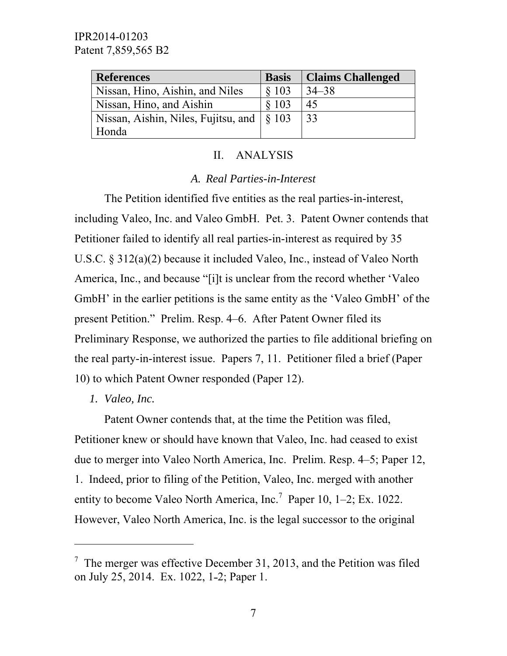| <b>References</b>                                     | <b>Basis</b> | <b>Claims Challenged</b> |
|-------------------------------------------------------|--------------|--------------------------|
| Nissan, Hino, Aishin, and Niles                       | \$103        | $34 - 38$                |
| Nissan, Hino, and Aishin                              | \$103        | 45                       |
| Nissan, Aishin, Niles, Fujitsu, and $\frac{1}{5}$ 103 |              | 33                       |
| Honda                                                 |              |                          |

### II. ANALYSIS

### *A. Real Parties-in-Interest*

The Petition identified five entities as the real parties-in-interest, including Valeo, Inc. and Valeo GmbH. Pet. 3. Patent Owner contends that Petitioner failed to identify all real parties-in-interest as required by 35 U.S.C. § 312(a)(2) because it included Valeo, Inc., instead of Valeo North America, Inc., and because "[i]t is unclear from the record whether 'Valeo GmbH' in the earlier petitions is the same entity as the 'Valeo GmbH' of the present Petition." Prelim. Resp. 4–6. After Patent Owner filed its Preliminary Response, we authorized the parties to file additional briefing on the real party-in-interest issue. Papers 7, 11. Petitioner filed a brief (Paper 10) to which Patent Owner responded (Paper 12).

*1. Valeo, Inc.* 

-

Patent Owner contends that, at the time the Petition was filed, Petitioner knew or should have known that Valeo, Inc. had ceased to exist due to merger into Valeo North America, Inc. Prelim. Resp. 4–5; Paper 12, 1. Indeed, prior to filing of the Petition, Valeo, Inc. merged with another entity to become Valeo North America, Inc.<sup>7</sup> Paper 10, 1–2; Ex. 1022. However, Valeo North America, Inc. is the legal successor to the original

 $<sup>7</sup>$  The merger was effective December 31, 2013, and the Petition was filed</sup> on July 25, 2014. Ex. 1022, 1-2; Paper 1.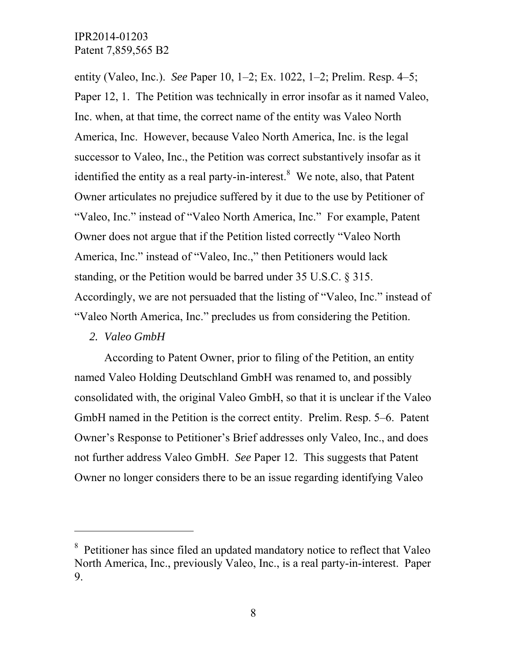entity (Valeo, Inc.). *See* Paper 10, 1–2; Ex. 1022, 1–2; Prelim. Resp. 4–5; Paper 12, 1. The Petition was technically in error insofar as it named Valeo, Inc. when, at that time, the correct name of the entity was Valeo North America, Inc. However, because Valeo North America, Inc. is the legal successor to Valeo, Inc., the Petition was correct substantively insofar as it identified the entity as a real party-in-interest. $8$  We note, also, that Patent Owner articulates no prejudice suffered by it due to the use by Petitioner of "Valeo, Inc." instead of "Valeo North America, Inc." For example, Patent Owner does not argue that if the Petition listed correctly "Valeo North America, Inc." instead of "Valeo, Inc.," then Petitioners would lack standing, or the Petition would be barred under 35 U.S.C. § 315. Accordingly, we are not persuaded that the listing of "Valeo, Inc." instead of "Valeo North America, Inc." precludes us from considering the Petition.

# *2. Valeo GmbH*

-

According to Patent Owner, prior to filing of the Petition, an entity named Valeo Holding Deutschland GmbH was renamed to, and possibly consolidated with, the original Valeo GmbH, so that it is unclear if the Valeo GmbH named in the Petition is the correct entity. Prelim. Resp. 5–6. Patent Owner's Response to Petitioner's Brief addresses only Valeo, Inc., and does not further address Valeo GmbH. *See* Paper 12. This suggests that Patent Owner no longer considers there to be an issue regarding identifying Valeo

<sup>&</sup>lt;sup>8</sup> Petitioner has since filed an updated mandatory notice to reflect that Valeo North America, Inc., previously Valeo, Inc., is a real party-in-interest. Paper 9.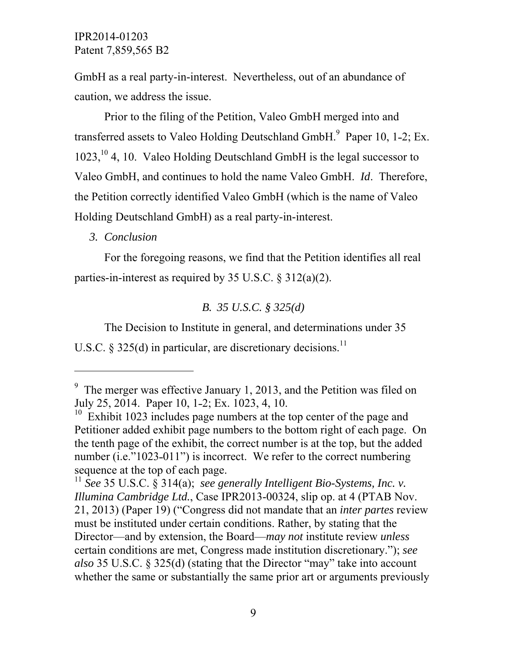GmbH as a real party-in-interest. Nevertheless, out of an abundance of caution, we address the issue.

Prior to the filing of the Petition, Valeo GmbH merged into and transferred assets to Valeo Holding Deutschland  $GmbH$ .<sup>9</sup> Paper 10, 1-2; Ex.  $1023$ ,<sup>10</sup> 4, 10. Valeo Holding Deutschland GmbH is the legal successor to Valeo GmbH, and continues to hold the name Valeo GmbH. *Id*. Therefore, the Petition correctly identified Valeo GmbH (which is the name of Valeo Holding Deutschland GmbH) as a real party-in-interest.

### *3. Conclusion*

 $\overline{a}$ 

For the foregoing reasons, we find that the Petition identifies all real parties-in-interest as required by 35 U.S.C. § 312(a)(2).

### *B. 35 U.S.C. § 325(d)*

The Decision to Institute in general, and determinations under 35 U.S.C. § 325(d) in particular, are discretionary decisions.<sup>11</sup>

<sup>&</sup>lt;sup>9</sup> The merger was effective January 1, 2013, and the Petition was filed on July 25, 2014. Paper 10, 1-2; Ex. 1023, 4, 10.

<sup>&</sup>lt;sup>10</sup> Exhibit 1023 includes page numbers at the top center of the page and Petitioner added exhibit page numbers to the bottom right of each page. On the tenth page of the exhibit, the correct number is at the top, but the added number (i.e." $1023-011$ ") is incorrect. We refer to the correct numbering sequence at the top of each page.

<sup>11</sup> *See* 35 U.S.C. § 314(a); *see generally Intelligent Bio-Systems, Inc. v. Illumina Cambridge Ltd.*, Case IPR2013-00324, slip op. at 4 (PTAB Nov. 21, 2013) (Paper 19) ("Congress did not mandate that an *inter partes* review must be instituted under certain conditions. Rather, by stating that the Director—and by extension, the Board—*may not* institute review *unless*  certain conditions are met, Congress made institution discretionary."); *see also* 35 U.S.C. § 325(d) (stating that the Director "may" take into account whether the same or substantially the same prior art or arguments previously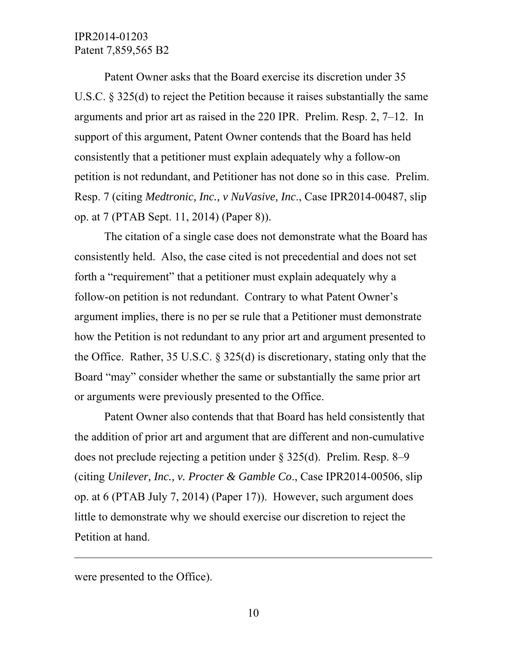Patent Owner asks that the Board exercise its discretion under 35 U.S.C. § 325(d) to reject the Petition because it raises substantially the same arguments and prior art as raised in the 220 IPR. Prelim. Resp. 2, 7–12. In support of this argument, Patent Owner contends that the Board has held consistently that a petitioner must explain adequately why a follow-on petition is not redundant, and Petitioner has not done so in this case. Prelim. Resp. 7 (citing *Medtronic, Inc., v NuVasive, Inc*., Case IPR2014-00487, slip op. at 7 (PTAB Sept. 11, 2014) (Paper 8)).

The citation of a single case does not demonstrate what the Board has consistently held. Also, the case cited is not precedential and does not set forth a "requirement" that a petitioner must explain adequately why a follow-on petition is not redundant. Contrary to what Patent Owner's argument implies, there is no per se rule that a Petitioner must demonstrate how the Petition is not redundant to any prior art and argument presented to the Office. Rather, 35 U.S.C. § 325(d) is discretionary, stating only that the Board "may" consider whether the same or substantially the same prior art or arguments were previously presented to the Office.

Patent Owner also contends that that Board has held consistently that the addition of prior art and argument that are different and non-cumulative does not preclude rejecting a petition under § 325(d). Prelim. Resp. 8–9 (citing *Unilever, Inc., v. Procter & Gamble Co*., Case IPR2014-00506, slip op. at 6 (PTAB July 7, 2014) (Paper 17)). However, such argument does little to demonstrate why we should exercise our discretion to reject the Petition at hand.

were presented to the Office).

 $\overline{a}$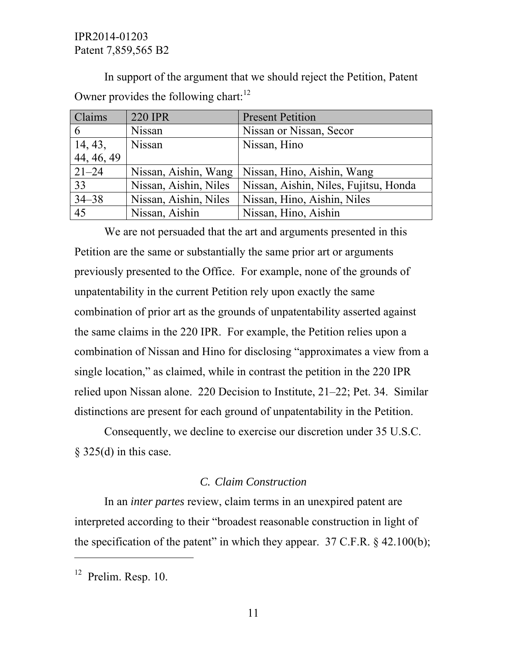In support of the argument that we should reject the Petition, Patent Owner provides the following chart: $12$ 

| Claims     | <b>220 IPR</b>        | <b>Present Petition</b>               |
|------------|-----------------------|---------------------------------------|
| 6          | <b>Nissan</b>         | Nissan or Nissan, Secor               |
| 14, 43,    | <b>Nissan</b>         | Nissan, Hino                          |
| 44, 46, 49 |                       |                                       |
| $21 - 24$  | Nissan, Aishin, Wang  | Nissan, Hino, Aishin, Wang            |
| 33         | Nissan, Aishin, Niles | Nissan, Aishin, Niles, Fujitsu, Honda |
| $34 - 38$  | Nissan, Aishin, Niles | Nissan, Hino, Aishin, Niles           |
| 45         | Nissan, Aishin        | Nissan, Hino, Aishin                  |

We are not persuaded that the art and arguments presented in this Petition are the same or substantially the same prior art or arguments previously presented to the Office. For example, none of the grounds of unpatentability in the current Petition rely upon exactly the same combination of prior art as the grounds of unpatentability asserted against the same claims in the 220 IPR. For example, the Petition relies upon a combination of Nissan and Hino for disclosing "approximates a view from a single location," as claimed, while in contrast the petition in the 220 IPR relied upon Nissan alone. 220 Decision to Institute, 21–22; Pet. 34. Similar distinctions are present for each ground of unpatentability in the Petition.

Consequently, we decline to exercise our discretion under 35 U.S.C.  $§$  325(d) in this case.

# *C. Claim Construction*

In an *inter partes* review, claim terms in an unexpired patent are interpreted according to their "broadest reasonable construction in light of the specification of the patent" in which they appear.  $37 \text{ C.F.R.}$  § 42.100(b);

 $\overline{a}$ 

 $12$  Prelim. Resp. 10.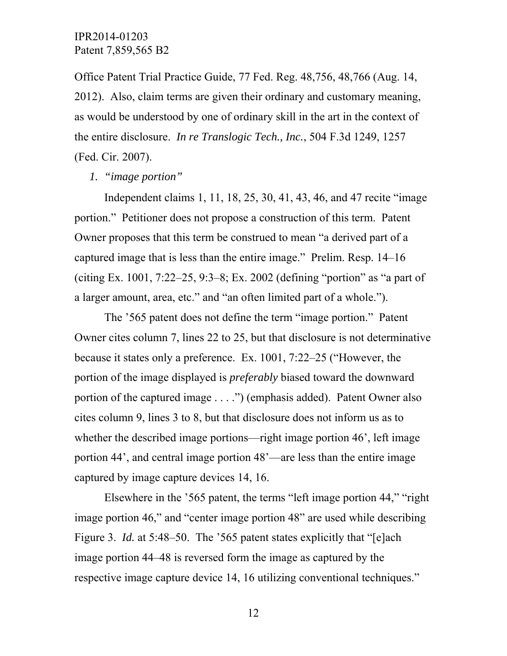Office Patent Trial Practice Guide, 77 Fed. Reg. 48,756, 48,766 (Aug. 14, 2012). Also, claim terms are given their ordinary and customary meaning, as would be understood by one of ordinary skill in the art in the context of the entire disclosure. *In re Translogic Tech., Inc.*, 504 F.3d 1249, 1257 (Fed. Cir. 2007).

#### *1. "image portion"*

Independent claims 1, 11, 18, 25, 30, 41, 43, 46, and 47 recite "image portion." Petitioner does not propose a construction of this term. Patent Owner proposes that this term be construed to mean "a derived part of a captured image that is less than the entire image." Prelim. Resp. 14–16 (citing Ex. 1001, 7:22–25, 9:3–8; Ex. 2002 (defining "portion" as "a part of a larger amount, area, etc." and "an often limited part of a whole.").

The '565 patent does not define the term "image portion." Patent Owner cites column 7, lines 22 to 25, but that disclosure is not determinative because it states only a preference. Ex. 1001, 7:22–25 ("However, the portion of the image displayed is *preferably* biased toward the downward portion of the captured image . . . .") (emphasis added). Patent Owner also cites column 9, lines 3 to 8, but that disclosure does not inform us as to whether the described image portions—right image portion 46', left image portion 44', and central image portion 48'—are less than the entire image captured by image capture devices 14, 16.

Elsewhere in the '565 patent, the terms "left image portion 44," "right image portion 46," and "center image portion 48" are used while describing Figure 3. *Id.* at 5:48–50. The '565 patent states explicitly that "[e]ach image portion 44–48 is reversed form the image as captured by the respective image capture device 14, 16 utilizing conventional techniques."

12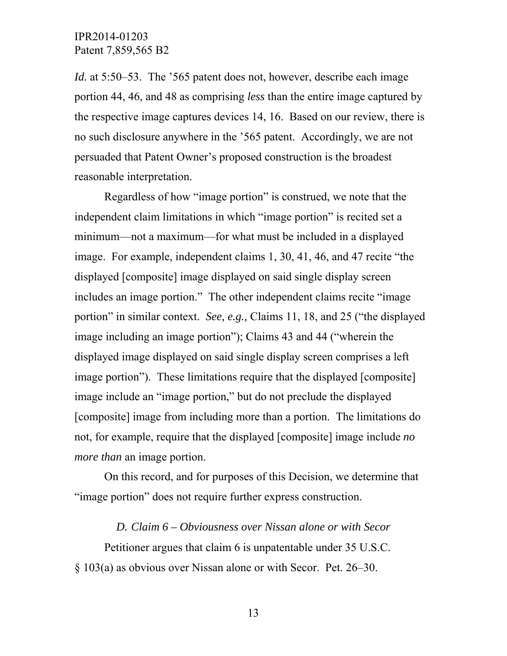*Id.* at 5:50–53. The '565 patent does not, however, describe each image portion 44, 46, and 48 as comprising *less* than the entire image captured by the respective image captures devices 14, 16. Based on our review, there is no such disclosure anywhere in the '565 patent. Accordingly, we are not persuaded that Patent Owner's proposed construction is the broadest reasonable interpretation.

Regardless of how "image portion" is construed, we note that the independent claim limitations in which "image portion" is recited set a minimum—not a maximum—for what must be included in a displayed image. For example, independent claims 1, 30, 41, 46, and 47 recite "the displayed [composite] image displayed on said single display screen includes an image portion." The other independent claims recite "image portion" in similar context. *See, e.g.,* Claims 11, 18, and 25 ("the displayed image including an image portion"); Claims 43 and 44 ("wherein the displayed image displayed on said single display screen comprises a left image portion"). These limitations require that the displayed [composite] image include an "image portion," but do not preclude the displayed [composite] image from including more than a portion. The limitations do not, for example, require that the displayed [composite] image include *no more than* an image portion.

On this record, and for purposes of this Decision, we determine that "image portion" does not require further express construction.

### *D. Claim 6 – Obviousness over Nissan alone or with Secor*

Petitioner argues that claim 6 is unpatentable under 35 U.S.C. § 103(a) as obvious over Nissan alone or with Secor. Pet. 26–30.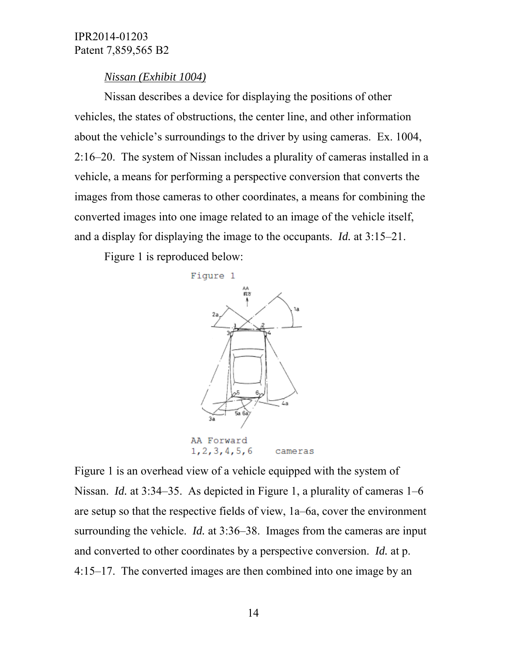### *Nissan (Exhibit 1004)*

Nissan describes a device for displaying the positions of other vehicles, the states of obstructions, the center line, and other information about the vehicle's surroundings to the driver by using cameras. Ex. 1004, 2:16–20. The system of Nissan includes a plurality of cameras installed in a vehicle, a means for performing a perspective conversion that converts the images from those cameras to other coordinates, a means for combining the converted images into one image related to an image of the vehicle itself, and a display for displaying the image to the occupants. *Id.* at 3:15–21.

Figure 1 is reproduced below:



Figure 1 is an overhead view of a vehicle equipped with the system of Nissan. *Id.* at 3:34–35. As depicted in Figure 1, a plurality of cameras 1–6 are setup so that the respective fields of view, 1a–6a, cover the environment surrounding the vehicle. *Id.* at 3:36–38. Images from the cameras are input and converted to other coordinates by a perspective conversion. *Id.* at p. 4:15–17. The converted images are then combined into one image by an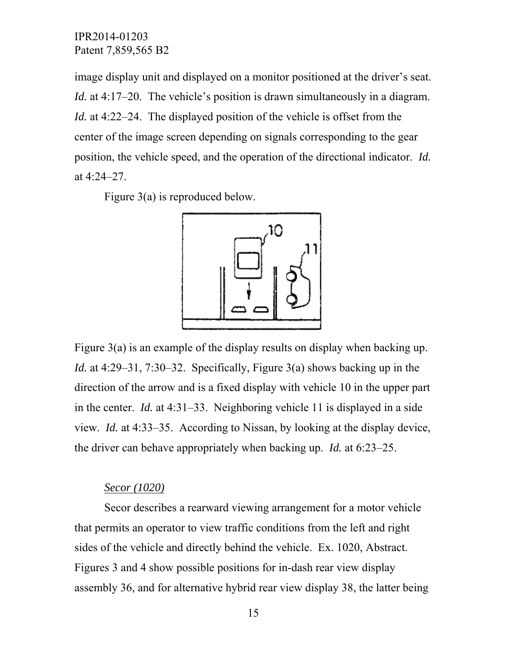image display unit and displayed on a monitor positioned at the driver's seat. *Id.* at 4:17–20. The vehicle's position is drawn simultaneously in a diagram. *Id.* at 4:22–24. The displayed position of the vehicle is offset from the center of the image screen depending on signals corresponding to the gear position, the vehicle speed, and the operation of the directional indicator. *Id.*  at 4:24–27.

Figure 3(a) is reproduced below.



Figure 3(a) is an example of the display results on display when backing up. *Id.* at 4:29–31, 7:30–32. Specifically, Figure 3(a) shows backing up in the direction of the arrow and is a fixed display with vehicle 10 in the upper part in the center. *Id.* at 4:31–33. Neighboring vehicle 11 is displayed in a side view. *Id.* at 4:33–35. According to Nissan, by looking at the display device, the driver can behave appropriately when backing up. *Id.* at 6:23–25.

### *Secor (1020)*

Secor describes a rearward viewing arrangement for a motor vehicle that permits an operator to view traffic conditions from the left and right sides of the vehicle and directly behind the vehicle. Ex. 1020, Abstract. Figures 3 and 4 show possible positions for in-dash rear view display assembly 36, and for alternative hybrid rear view display 38, the latter being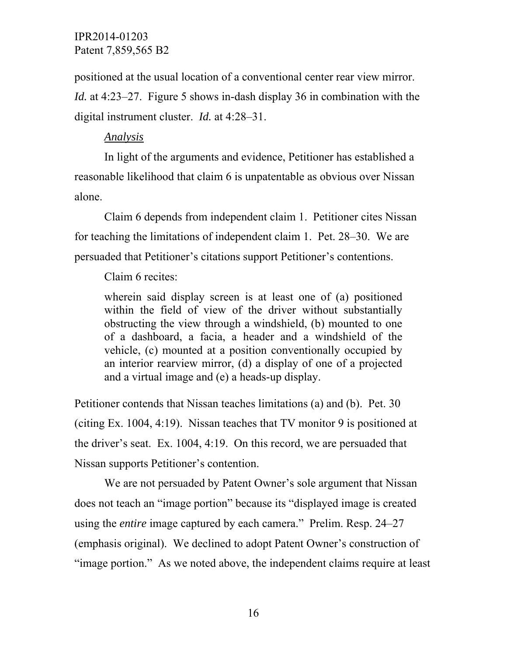positioned at the usual location of a conventional center rear view mirror.

*Id.* at 4:23–27. Figure 5 shows in-dash display 36 in combination with the digital instrument cluster. *Id.* at 4:28–31.

# *Analysis*

In light of the arguments and evidence, Petitioner has established a reasonable likelihood that claim 6 is unpatentable as obvious over Nissan alone.

Claim 6 depends from independent claim 1. Petitioner cites Nissan for teaching the limitations of independent claim 1. Pet. 28–30. We are persuaded that Petitioner's citations support Petitioner's contentions.

Claim 6 recites:

wherein said display screen is at least one of (a) positioned within the field of view of the driver without substantially obstructing the view through a windshield, (b) mounted to one of a dashboard, a facia, a header and a windshield of the vehicle, (c) mounted at a position conventionally occupied by an interior rearview mirror, (d) a display of one of a projected and a virtual image and (e) a heads-up display.

Petitioner contends that Nissan teaches limitations (a) and (b). Pet. 30 (citing Ex. 1004, 4:19). Nissan teaches that TV monitor 9 is positioned at the driver's seat. Ex. 1004, 4:19. On this record, we are persuaded that Nissan supports Petitioner's contention.

We are not persuaded by Patent Owner's sole argument that Nissan does not teach an "image portion" because its "displayed image is created using the *entire* image captured by each camera." Prelim. Resp. 24–27 (emphasis original). We declined to adopt Patent Owner's construction of "image portion." As we noted above, the independent claims require at least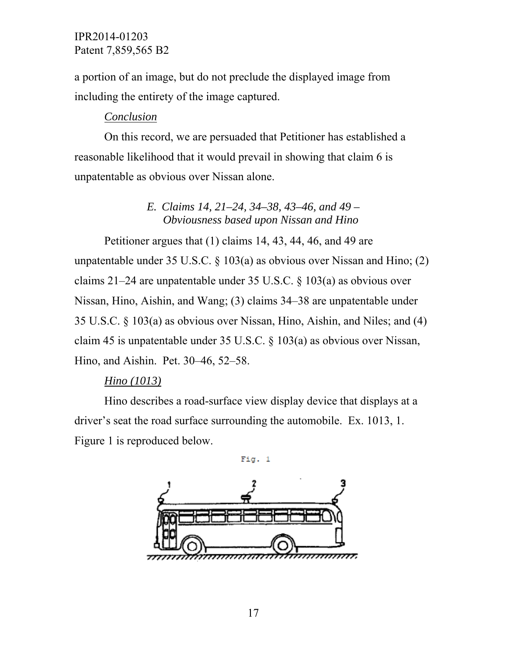a portion of an image, but do not preclude the displayed image from including the entirety of the image captured.

# *Conclusion*

On this record, we are persuaded that Petitioner has established a reasonable likelihood that it would prevail in showing that claim 6 is unpatentable as obvious over Nissan alone.

# *E. Claims 14, 21–24, 34–38, 43–46, and 49 – Obviousness based upon Nissan and Hino*

Petitioner argues that (1) claims 14, 43, 44, 46, and 49 are unpatentable under 35 U.S.C.  $\S$  103(a) as obvious over Nissan and Hino; (2) claims 21–24 are unpatentable under 35 U.S.C. § 103(a) as obvious over Nissan, Hino, Aishin, and Wang; (3) claims 34–38 are unpatentable under 35 U.S.C. § 103(a) as obvious over Nissan, Hino, Aishin, and Niles; and (4) claim 45 is unpatentable under 35 U.S.C. § 103(a) as obvious over Nissan, Hino, and Aishin. Pet. 30–46, 52–58.

# *Hino (1013)*

Hino describes a road-surface view display device that displays at a driver's seat the road surface surrounding the automobile. Ex. 1013, 1. Figure 1 is reproduced below.

 $Fig. 1$ 

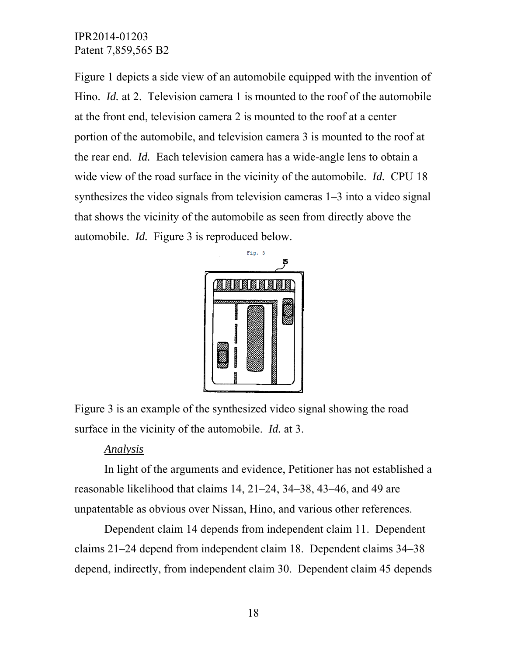Figure 1 depicts a side view of an automobile equipped with the invention of Hino. *Id.* at 2. Television camera 1 is mounted to the roof of the automobile at the front end, television camera 2 is mounted to the roof at a center portion of the automobile, and television camera 3 is mounted to the roof at the rear end. *Id.* Each television camera has a wide-angle lens to obtain a wide view of the road surface in the vicinity of the automobile. *Id.* CPU 18 synthesizes the video signals from television cameras 1–3 into a video signal that shows the vicinity of the automobile as seen from directly above the automobile. *Id.* Figure 3 is reproduced below.



Figure 3 is an example of the synthesized video signal showing the road surface in the vicinity of the automobile. *Id.* at 3.

### *Analysis*

In light of the arguments and evidence, Petitioner has not established a reasonable likelihood that claims 14, 21–24, 34–38, 43–46, and 49 are unpatentable as obvious over Nissan, Hino, and various other references.

Dependent claim 14 depends from independent claim 11. Dependent claims 21–24 depend from independent claim 18. Dependent claims 34–38 depend, indirectly, from independent claim 30. Dependent claim 45 depends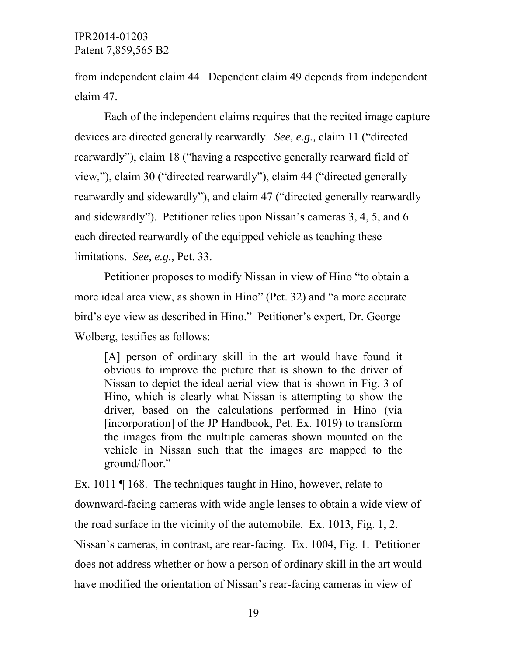from independent claim 44. Dependent claim 49 depends from independent claim 47.

Each of the independent claims requires that the recited image capture devices are directed generally rearwardly. *See, e.g.,* claim 11 ("directed rearwardly"), claim 18 ("having a respective generally rearward field of view,"), claim 30 ("directed rearwardly"), claim 44 ("directed generally rearwardly and sidewardly"), and claim 47 ("directed generally rearwardly and sidewardly"). Petitioner relies upon Nissan's cameras 3, 4, 5, and 6 each directed rearwardly of the equipped vehicle as teaching these limitations. *See, e.g.,* Pet. 33.

Petitioner proposes to modify Nissan in view of Hino "to obtain a more ideal area view, as shown in Hino" (Pet. 32) and "a more accurate bird's eye view as described in Hino." Petitioner's expert, Dr. George Wolberg, testifies as follows:

[A] person of ordinary skill in the art would have found it obvious to improve the picture that is shown to the driver of Nissan to depict the ideal aerial view that is shown in Fig. 3 of Hino, which is clearly what Nissan is attempting to show the driver, based on the calculations performed in Hino (via [incorporation] of the JP Handbook, Pet. Ex. 1019) to transform the images from the multiple cameras shown mounted on the vehicle in Nissan such that the images are mapped to the ground/floor."

Ex. 1011 | 168. The techniques taught in Hino, however, relate to downward-facing cameras with wide angle lenses to obtain a wide view of the road surface in the vicinity of the automobile. Ex. 1013, Fig. 1, 2. Nissan's cameras, in contrast, are rear-facing. Ex. 1004, Fig. 1. Petitioner does not address whether or how a person of ordinary skill in the art would have modified the orientation of Nissan's rear-facing cameras in view of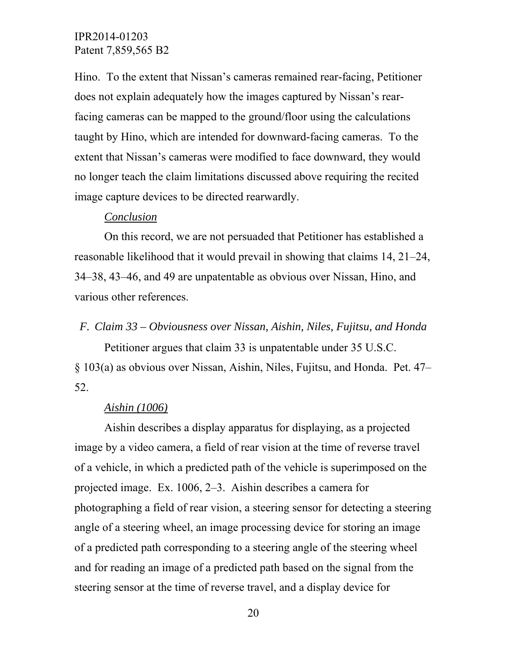Hino. To the extent that Nissan's cameras remained rear-facing, Petitioner does not explain adequately how the images captured by Nissan's rearfacing cameras can be mapped to the ground/floor using the calculations taught by Hino, which are intended for downward-facing cameras. To the extent that Nissan's cameras were modified to face downward, they would no longer teach the claim limitations discussed above requiring the recited image capture devices to be directed rearwardly.

#### *Conclusion*

On this record, we are not persuaded that Petitioner has established a reasonable likelihood that it would prevail in showing that claims 14, 21–24, 34–38, 43–46, and 49 are unpatentable as obvious over Nissan, Hino, and various other references.

#### *F. Claim 33 – Obviousness over Nissan, Aishin, Niles, Fujitsu, and Honda*

Petitioner argues that claim 33 is unpatentable under 35 U.S.C. § 103(a) as obvious over Nissan, Aishin, Niles, Fujitsu, and Honda. Pet. 47– 52.

### *Aishin (1006)*

Aishin describes a display apparatus for displaying, as a projected image by a video camera, a field of rear vision at the time of reverse travel of a vehicle, in which a predicted path of the vehicle is superimposed on the projected image. Ex. 1006, 2–3. Aishin describes a camera for photographing a field of rear vision, a steering sensor for detecting a steering angle of a steering wheel, an image processing device for storing an image of a predicted path corresponding to a steering angle of the steering wheel and for reading an image of a predicted path based on the signal from the steering sensor at the time of reverse travel, and a display device for

20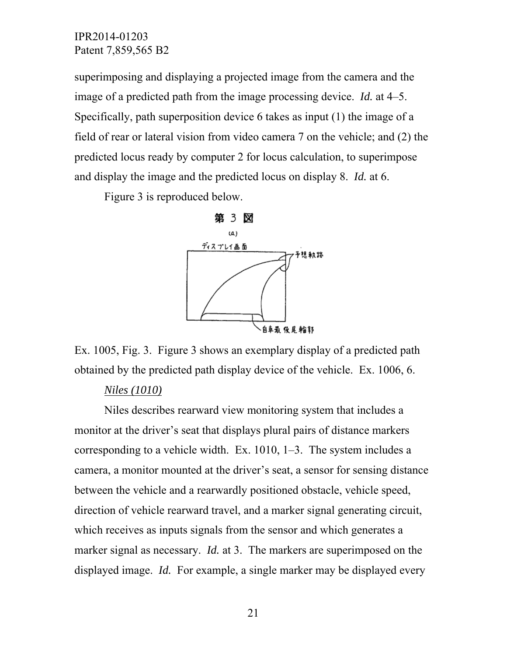superimposing and displaying a projected image from the camera and the image of a predicted path from the image processing device. *Id.* at 4–5. Specifically, path superposition device 6 takes as input (1) the image of a field of rear or lateral vision from video camera 7 on the vehicle; and (2) the predicted locus ready by computer 2 for locus calculation, to superimpose and display the image and the predicted locus on display 8. *Id.* at 6.

Figure 3 is reproduced below.



Ex. 1005, Fig. 3. Figure 3 shows an exemplary display of a predicted path obtained by the predicted path display device of the vehicle. Ex. 1006, 6.

### *Niles (1010)*

Niles describes rearward view monitoring system that includes a monitor at the driver's seat that displays plural pairs of distance markers corresponding to a vehicle width. Ex. 1010, 1–3. The system includes a camera, a monitor mounted at the driver's seat, a sensor for sensing distance between the vehicle and a rearwardly positioned obstacle, vehicle speed, direction of vehicle rearward travel, and a marker signal generating circuit, which receives as inputs signals from the sensor and which generates a marker signal as necessary. *Id.* at 3. The markers are superimposed on the displayed image. *Id.* For example, a single marker may be displayed every

21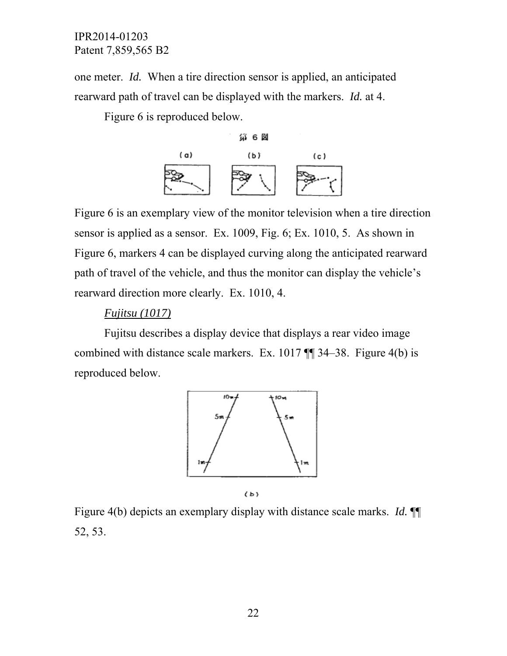one meter. *Id.* When a tire direction sensor is applied, an anticipated rearward path of travel can be displayed with the markers. *Id.* at 4.

Figure 6 is reproduced below.



Figure 6 is an exemplary view of the monitor television when a tire direction sensor is applied as a sensor. Ex. 1009, Fig. 6; Ex. 1010, 5. As shown in Figure 6, markers 4 can be displayed curving along the anticipated rearward path of travel of the vehicle, and thus the monitor can display the vehicle's rearward direction more clearly. Ex. 1010, 4.

# *Fujitsu (1017)*

Fujitsu describes a display device that displays a rear video image combined with distance scale markers. Ex. 1017 ¶¶ 34–38. Figure 4(b) is reproduced below.



 $(b)$ 

Figure 4(b) depicts an exemplary display with distance scale marks. *Id.* ¶¶ 52, 53.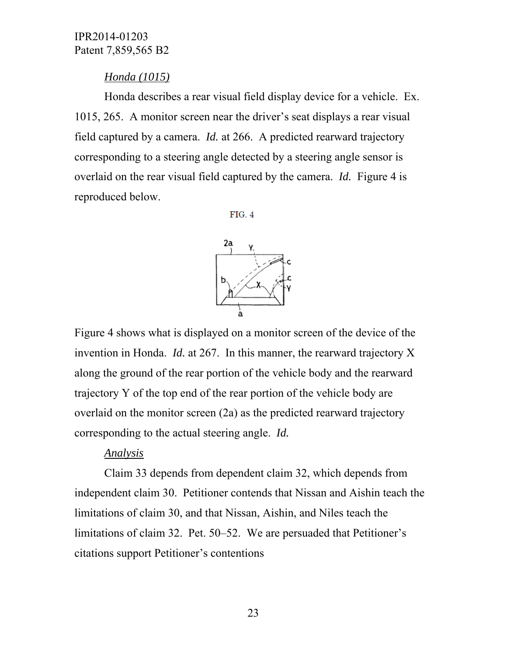# *Honda (1015)*

Honda describes a rear visual field display device for a vehicle. Ex. 1015, 265. A monitor screen near the driver's seat displays a rear visual field captured by a camera. *Id.* at 266. A predicted rearward trajectory corresponding to a steering angle detected by a steering angle sensor is overlaid on the rear visual field captured by the camera. *Id.* Figure 4 is reproduced below.

**FIG. 4** 



Figure 4 shows what is displayed on a monitor screen of the device of the invention in Honda. *Id.* at 267. In this manner, the rearward trajectory X along the ground of the rear portion of the vehicle body and the rearward trajectory Y of the top end of the rear portion of the vehicle body are overlaid on the monitor screen (2a) as the predicted rearward trajectory corresponding to the actual steering angle. *Id.*

# *Analysis*

Claim 33 depends from dependent claim 32, which depends from independent claim 30. Petitioner contends that Nissan and Aishin teach the limitations of claim 30, and that Nissan, Aishin, and Niles teach the limitations of claim 32. Pet. 50–52. We are persuaded that Petitioner's citations support Petitioner's contentions

23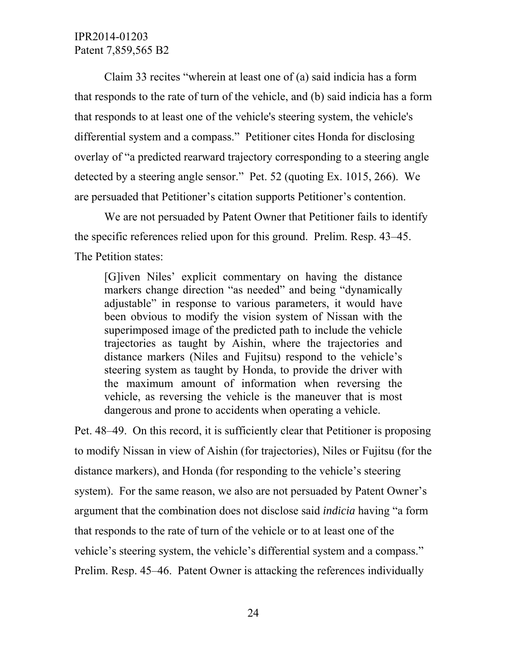Claim 33 recites "wherein at least one of (a) said indicia has a form that responds to the rate of turn of the vehicle, and (b) said indicia has a form that responds to at least one of the vehicle's steering system, the vehicle's differential system and a compass." Petitioner cites Honda for disclosing overlay of "a predicted rearward trajectory corresponding to a steering angle detected by a steering angle sensor." Pet. 52 (quoting Ex. 1015, 266). We are persuaded that Petitioner's citation supports Petitioner's contention.

We are not persuaded by Patent Owner that Petitioner fails to identify the specific references relied upon for this ground. Prelim. Resp. 43–45. The Petition states:

[G]iven Niles' explicit commentary on having the distance markers change direction "as needed" and being "dynamically adjustable" in response to various parameters, it would have been obvious to modify the vision system of Nissan with the superimposed image of the predicted path to include the vehicle trajectories as taught by Aishin, where the trajectories and distance markers (Niles and Fujitsu) respond to the vehicle's steering system as taught by Honda, to provide the driver with the maximum amount of information when reversing the vehicle, as reversing the vehicle is the maneuver that is most dangerous and prone to accidents when operating a vehicle.

Pet. 48–49. On this record, it is sufficiently clear that Petitioner is proposing to modify Nissan in view of Aishin (for trajectories), Niles or Fujitsu (for the distance markers), and Honda (for responding to the vehicle's steering system). For the same reason, we also are not persuaded by Patent Owner's argument that the combination does not disclose said *indicia* having "a form that responds to the rate of turn of the vehicle or to at least one of the vehicle's steering system, the vehicle's differential system and a compass." Prelim. Resp. 45–46. Patent Owner is attacking the references individually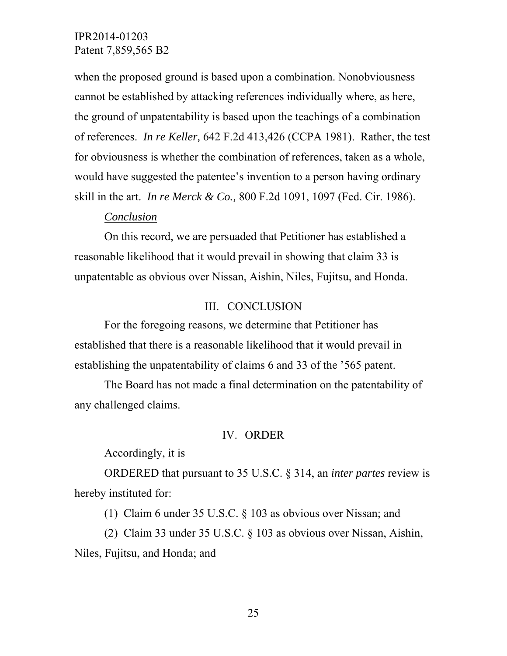when the proposed ground is based upon a combination. Nonobviousness cannot be established by attacking references individually where, as here, the ground of unpatentability is based upon the teachings of a combination of references. *In re Keller,* 642 F.2d 413,426 (CCPA 1981). Rather, the test for obviousness is whether the combination of references, taken as a whole, would have suggested the patentee's invention to a person having ordinary skill in the art. *In re Merck & Co.,* 800 F.2d 1091, 1097 (Fed. Cir. 1986).

#### *Conclusion*

On this record, we are persuaded that Petitioner has established a reasonable likelihood that it would prevail in showing that claim 33 is unpatentable as obvious over Nissan, Aishin, Niles, Fujitsu, and Honda.

### III. CONCLUSION

For the foregoing reasons, we determine that Petitioner has established that there is a reasonable likelihood that it would prevail in establishing the unpatentability of claims 6 and 33 of the '565 patent.

The Board has not made a final determination on the patentability of any challenged claims.

#### IV. ORDER

Accordingly, it is

ORDERED that pursuant to 35 U.S.C. § 314, an *inter partes* review is hereby instituted for:

(1) Claim 6 under 35 U.S.C. § 103 as obvious over Nissan; and

(2) Claim 33 under 35 U.S.C. § 103 as obvious over Nissan, Aishin, Niles, Fujitsu, and Honda; and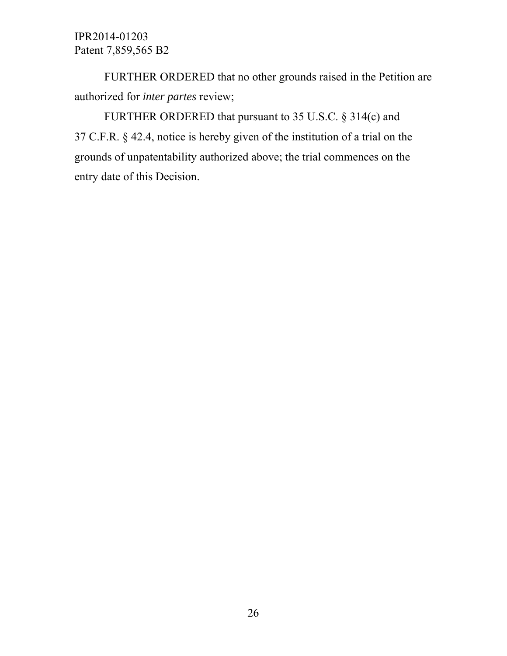FURTHER ORDERED that no other grounds raised in the Petition are authorized for *inter partes* review;

FURTHER ORDERED that pursuant to 35 U.S.C. § 314(c) and 37 C.F.R. § 42.4, notice is hereby given of the institution of a trial on the grounds of unpatentability authorized above; the trial commences on the entry date of this Decision.